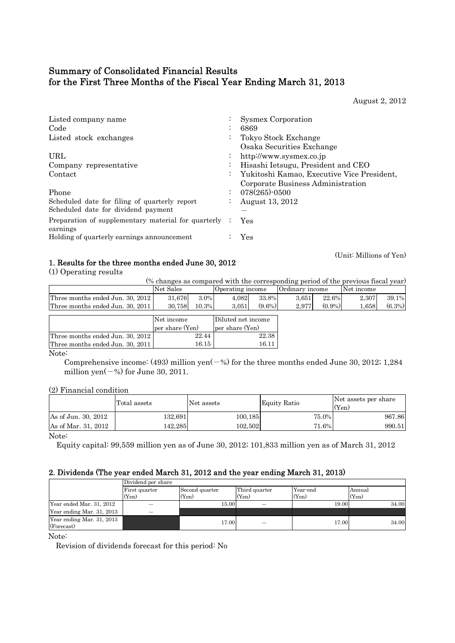# Summary of Consolidated Financial Results for the First Three Months of the Fiscal Year Ending March 31, 2013

August 2, 2012

| Listed company name<br>Code                                     | $\bullet$            | <b>Sysmex Corporation</b><br>6869                 |
|-----------------------------------------------------------------|----------------------|---------------------------------------------------|
| Listed stock exchanges                                          | $\ddot{\phantom{0}}$ | Tokyo Stock Exchange<br>Osaka Securities Exchange |
| URL                                                             | $\bullet$            | http://www.sysmex.co.jp                           |
| Company representative                                          | $\bullet$            | Hisashi Ietsugu, President and CEO                |
| Contact                                                         | $\ddot{\phantom{0}}$ | Yukitoshi Kamao, Executive Vice President,        |
|                                                                 |                      | Corporate Business Administration                 |
| Phone                                                           |                      | 078(265)-0500                                     |
| Scheduled date for filing of quarterly report                   | $\bullet$            | August 13, 2012                                   |
| Scheduled date for dividend payment                             |                      |                                                   |
| Preparation of supplementary material for quarterly<br>earnings |                      | Yes                                               |
| Holding of quarterly earnings announcement                      |                      | Yes                                               |

# 1. Results for the three months ended June 30, 2012 (Unit: Millions of Yen)

(1) Operating results

(% changes as compared with the corresponding period of the previous fiscal year) Three months ended Jun. 30, 2012 31,676 3.0% 4,082 33.8% 3,651 22.6% 2,307 39.1%<br>Three months ended Jun. 30, 2011 30,758 10.3% 3,051 (9.6%) 2,977 (0.9%) 1,658 (6.3%) Three months ended Jun. 30, 2011  $\begin{array}{|l} \hline 30,758 & 10.3\% \hline \end{array}$  3,051 (9.6%) 2,977 (0.9%) 1,658 Net Sales Operating income Ordinary income Net income

|                                  | Net income      | Diluted net income |
|----------------------------------|-----------------|--------------------|
|                                  | per share (Yen) | per share (Yen)    |
| Three months ended Jun. 30, 2012 | 22.44           | 22.38              |
| Three months ended Jun. 30, 2011 | 16.15           | 16.1'              |

Note:

Comprehensive income: (493) million yen( $-\%$ ) for the three months ended June 30, 2012; 1,284 million yen $(-\%)$  for June 30, 2011.

(2) Financial condition

|                     | Total assets | Net assets | Equity Ratio | Net assets per share<br>(Yen) |
|---------------------|--------------|------------|--------------|-------------------------------|
| As of Jun. 30, 2012 | 132.691      | 100,185    | 75.0%        | 967.86                        |
| As of Mar. 31, 2012 | 142.285      | 102.502    | 71.6%        | 990.51                        |
| $ -$                |              |            |              |                               |

Note:

Equity capital: 99,559 million yen as of June 30, 2012; 101,833 million yen as of March 31, 2012

## 2. Dividends (The year ended March 31, 2012 and the year ending March 31, 2013)

|                                         | Dividend per share |                |               |          |        |  |  |  |
|-----------------------------------------|--------------------|----------------|---------------|----------|--------|--|--|--|
|                                         | First quarter      | Second quarter | Third quarter | Year-end | Annual |  |  |  |
|                                         | (Yen)              | (Yen)          | (Yen)         | (Yen)    | (Yen)  |  |  |  |
| Year ended Mar. 31, 2012                |                    | 15.00          |               | 19.00    | 34.00  |  |  |  |
| Year ending Mar. 31, 2013               |                    |                |               |          |        |  |  |  |
| Year ending Mar. 31, 2013<br>(Forecast) |                    | 17.00          |               | 17.00    | 34.00  |  |  |  |

Note:

Revision of dividends forecast for this period: No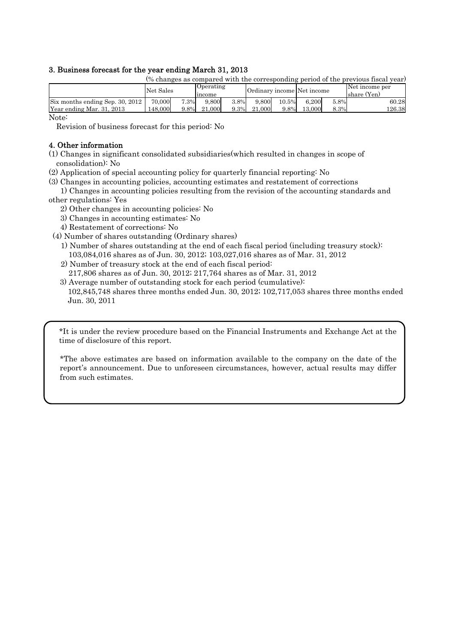## 3. Business forecast for the year ending March 31, 2013

| (% changes as compared with the corresponding period of the previous fiscal year) |           |      |                  |      |                            |       |        |      |                |
|-----------------------------------------------------------------------------------|-----------|------|------------------|------|----------------------------|-------|--------|------|----------------|
|                                                                                   | Net Sales |      | <b>Operating</b> |      | Ordinary income Net income |       |        |      | Net income per |
|                                                                                   |           |      | Income           |      |                            |       |        |      | Ishare (Yen)   |
| Six months ending Sep. 30, 2012                                                   | 70,000    | 7.3% | 9.800            | 3.8% | 9.800                      | 10.5% | 6.200  | 5.8% | 60.28          |
| Year ending Mar. 31, 2013                                                         | 148,000   | 9.8% | 21.000           | 9.3% | 21.000                     | 9.8%  | 13.000 | 8.3% | 126.38         |
| $N_{\text{max}}$                                                                  |           |      |                  |      |                            |       |        |      |                |

Note:

Revision of business forecast for this period: No

## 4. Other information

(1) Changes in significant consolidated subsidiaries(which resulted in changes in scope of consolidation): No

(2) Application of special accounting policy for quarterly financial reporting: No

(3) Changes in accounting policies, accounting estimates and restatement of corrections

 1) Changes in accounting policies resulting from the revision of the accounting standards and other regulations: Yes

- 2) Other changes in accounting policies: No
- 3) Changes in accounting estimates: No
- 4) Restatement of corrections: No

(4) Number of shares outstanding (Ordinary shares)

- 1) Number of shares outstanding at the end of each fiscal period (including treasury stock): 103,084,016 shares as of Jun. 30, 2012; 103,027,016 shares as of Mar. 31, 2012
- 2) Number of treasury stock at the end of each fiscal period: 217,806 shares as of Jun. 30, 2012; 217,764 shares as of Mar. 31, 2012
- 3) Average number of outstanding stock for each period (cumulative): 102,845,748 shares three months ended Jun. 30, 2012; 102,717,053 shares three months ended Jun. 30, 2011

\*It is under the review procedure based on the Financial Instruments and Exchange Act at the time of disclosure of this report.

\*The above estimates are based on information available to the company on the date of the report's announcement. Due to unforeseen circumstances, however, actual results may differ from such estimates.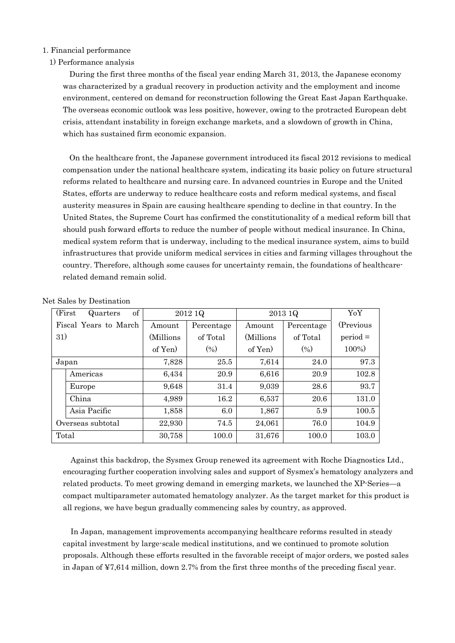## 1. Financial performance

1) Performance analysis

During the first three months of the fiscal year ending March 31, 2013, the Japanese economy was characterized by a gradual recovery in production activity and the employment and income environment, centered on demand for reconstruction following the Great East Japan Earthquake. The overseas economic outlook was less positive, however, owing to the protracted European debt crisis, attendant instability in foreign exchange markets, and a slowdown of growth in China, which has sustained firm economic expansion.

On the healthcare front, the Japanese government introduced its fiscal 2012 revisions to medical compensation under the national healthcare system, indicating its basic policy on future structural reforms related to healthcare and nursing care. In advanced countries in Europe and the United States, efforts are underway to reduce healthcare costs and reform medical systems, and fiscal austerity measures in Spain are causing healthcare spending to decline in that country. In the United States, the Supreme Court has confirmed the constitutionality of a medical reform bill that should push forward efforts to reduce the number of people without medical insurance. In China, medical system reform that is underway, including to the medical insurance system, aims to build infrastructures that provide uniform medical services in cities and farming villages throughout the country. Therefore, although some causes for uncertainty remain, the foundations of healthcarerelated demand remain solid.

|     | of<br>(First)<br>Quarters |            | 2012 1Q           | 2013 1Q    | YoY        |            |
|-----|---------------------------|------------|-------------------|------------|------------|------------|
|     | Fiscal Years to March     | Amount     | Percentage        | Amount     | Percentage | (Previous) |
| 31) |                           | (Millions) | of Total          | (Millions) | of Total   | $period =$ |
|     |                           | of Yen)    | (9 <sub>0</sub> ) | of Yen     | (0/0)      | 100%)      |
|     | Japan                     | 7,828      | 25.5              | 7,614      | 24.0       | 97.3       |
|     | Americas                  | 6,434      | 20.9              | 6,616      | 20.9       | 102.8      |
|     | Europe                    | 9,648      | 31.4              | 9,039      | 28.6       | 93.7       |
|     | China                     | 4,989      | 16.2              | 6,537      | 20.6       | 131.0      |
|     | Asia Pacific              | 1,858      | 6.0               | 1,867      | 5.9        | 100.5      |
|     | Overseas subtotal         | 22,930     | 74.5              | 24,061     | 76.0       | 104.9      |
|     | Total                     | 30,758     | 100.0             | 31,676     | 100.0      | 103.0      |

## Net Sales by Destination

Against this backdrop, the Sysmex Group renewed its agreement with Roche Diagnostics Ltd., encouraging further cooperation involving sales and support of Sysmex's hematology analyzers and related products. To meet growing demand in emerging markets, we launched the XP-Series—a compact multiparameter automated hematology analyzer. As the target market for this product is all regions, we have begun gradually commencing sales by country, as approved.

In Japan, management improvements accompanying healthcare reforms resulted in steady capital investment by large-scale medical institutions, and we continued to promote solution proposals. Although these efforts resulted in the favorable receipt of major orders, we posted sales in Japan of ¥7,614 million, down 2.7% from the first three months of the preceding fiscal year.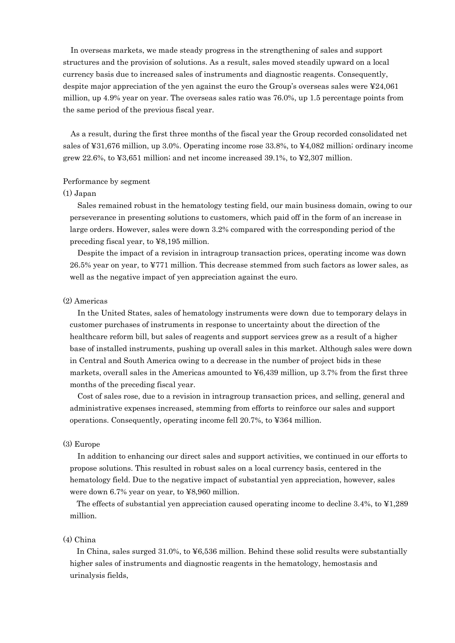In overseas markets, we made steady progress in the strengthening of sales and support structures and the provision of solutions. As a result, sales moved steadily upward on a local currency basis due to increased sales of instruments and diagnostic reagents. Consequently, despite major appreciation of the yen against the euro the Group's overseas sales were ¥24,061 million, up 4.9% year on year. The overseas sales ratio was 76.0%, up 1.5 percentage points from the same period of the previous fiscal year.

As a result, during the first three months of the fiscal year the Group recorded consolidated net sales of ¥31,676 million, up 3.0%. Operating income rose 33.8%, to ¥4,082 million; ordinary income grew 22.6%, to  $\yen 3,651$  million; and net income increased 39.1%, to  $\yen 2,307$  million.

#### Performance by segment

#### (1) Japan

Sales remained robust in the hematology testing field, our main business domain, owing to our perseverance in presenting solutions to customers, which paid off in the form of an increase in large orders. However, sales were down 3.2% compared with the corresponding period of the preceding fiscal year, to ¥8,195 million.

Despite the impact of a revision in intragroup transaction prices, operating income was down 26.5% year on year, to ¥771 million. This decrease stemmed from such factors as lower sales, as well as the negative impact of yen appreciation against the euro.

### (2) Americas

In the United States, sales of hematology instruments were down due to temporary delays in customer purchases of instruments in response to uncertainty about the direction of the healthcare reform bill, but sales of reagents and support services grew as a result of a higher base of installed instruments, pushing up overall sales in this market. Although sales were down in Central and South America owing to a decrease in the number of project bids in these markets, overall sales in the Americas amounted to ¥6,439 million, up 3.7% from the first three months of the preceding fiscal year.

Cost of sales rose, due to a revision in intragroup transaction prices, and selling, general and administrative expenses increased, stemming from efforts to reinforce our sales and support operations. Consequently, operating income fell 20.7%, to ¥364 million.

#### (3) Europe

In addition to enhancing our direct sales and support activities, we continued in our efforts to propose solutions. This resulted in robust sales on a local currency basis, centered in the hematology field. Due to the negative impact of substantial yen appreciation, however, sales were down 6.7% year on year, to ¥8,960 million.

The effects of substantial yen appreciation caused operating income to decline 3.4%, to ¥1,289 million.

## (4) China

In China, sales surged 31.0%, to ¥6,536 million. Behind these solid results were substantially higher sales of instruments and diagnostic reagents in the hematology, hemostasis and urinalysis fields,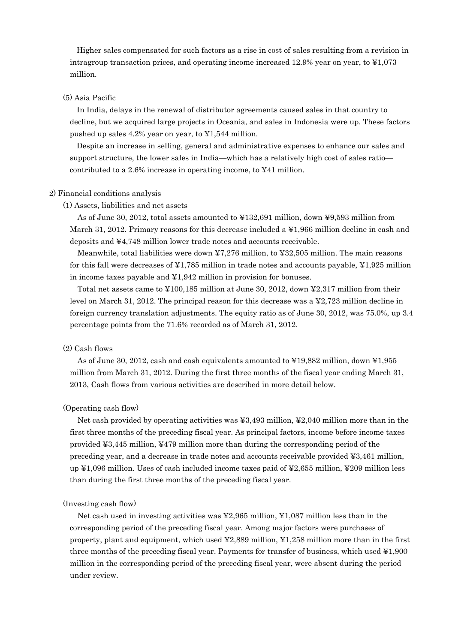Higher sales compensated for such factors as a rise in cost of sales resulting from a revision in intragroup transaction prices, and operating income increased 12.9% year on year, to  $\text{\$1,073}$ million.

## (5) Asia Pacific

In India, delays in the renewal of distributor agreements caused sales in that country to decline, but we acquired large projects in Oceania, and sales in Indonesia were up. These factors pushed up sales 4.2% year on year, to ¥1,544 million.

Despite an increase in selling, general and administrative expenses to enhance our sales and support structure, the lower sales in India—which has a relatively high cost of sales ratio contributed to a 2.6% increase in operating income, to ¥41 million.

#### 2) Financial conditions analysis

## (1) Assets, liabilities and net assets

As of June 30, 2012, total assets amounted to ¥132,691 million, down ¥9,593 million from March 31, 2012. Primary reasons for this decrease included a ¥1,966 million decline in cash and deposits and ¥4,748 million lower trade notes and accounts receivable.

Meanwhile, total liabilities were down  $\angle 7,276$  million, to  $\angle 23,505$  million. The main reasons for this fall were decreases of  $\frac{1}{4}1,785$  million in trade notes and accounts payable,  $\frac{1}{4}1,925$  million in income taxes payable and ¥1,942 million in provision for bonuses.

Total net assets came to ¥100,185 million at June 30, 2012, down ¥2,317 million from their level on March 31, 2012. The principal reason for this decrease was a ¥2,723 million decline in foreign currency translation adjustments. The equity ratio as of June 30, 2012, was 75.0%, up 3.4 percentage points from the 71.6% recorded as of March 31, 2012.

## (2) Cash flows

As of June 30, 2012, cash and cash equivalents amounted to ¥19,882 million, down ¥1,955 million from March 31, 2012. During the first three months of the fiscal year ending March 31, 2013, Cash flows from various activities are described in more detail below.

#### (Operating cash flow)

Net cash provided by operating activities was ¥3,493 million, ¥2,040 million more than in the first three months of the preceding fiscal year. As principal factors, income before income taxes provided ¥3,445 million, ¥479 million more than during the corresponding period of the preceding year, and a decrease in trade notes and accounts receivable provided ¥3,461 million, up ¥1,096 million. Uses of cash included income taxes paid of ¥2,655 million, ¥209 million less than during the first three months of the preceding fiscal year.

#### (Investing cash flow)

Net cash used in investing activities was ¥2,965 million, ¥1,087 million less than in the corresponding period of the preceding fiscal year. Among major factors were purchases of property, plant and equipment, which used ¥2,889 million, ¥1,258 million more than in the first three months of the preceding fiscal year. Payments for transfer of business, which used ¥1,900 million in the corresponding period of the preceding fiscal year, were absent during the period under review.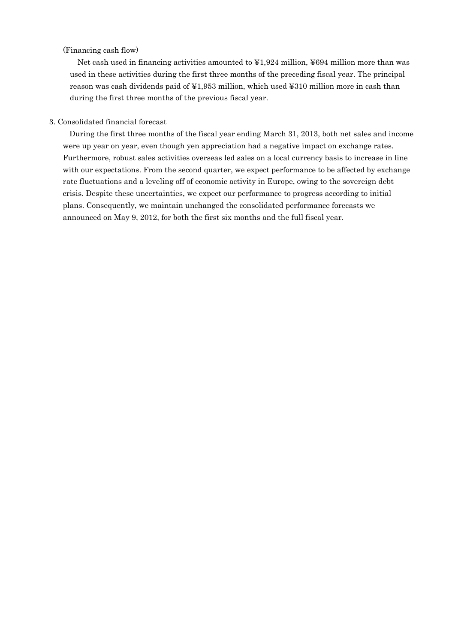## (Financing cash flow)

Net cash used in financing activities amounted to ¥1,924 million, ¥694 million more than was used in these activities during the first three months of the preceding fiscal year. The principal reason was cash dividends paid of ¥1,953 million, which used ¥310 million more in cash than during the first three months of the previous fiscal year.

## 3. Consolidated financial forecast

During the first three months of the fiscal year ending March 31, 2013, both net sales and income were up year on year, even though yen appreciation had a negative impact on exchange rates. Furthermore, robust sales activities overseas led sales on a local currency basis to increase in line with our expectations. From the second quarter, we expect performance to be affected by exchange rate fluctuations and a leveling off of economic activity in Europe, owing to the sovereign debt crisis. Despite these uncertainties, we expect our performance to progress according to initial plans. Consequently, we maintain unchanged the consolidated performance forecasts we announced on May 9, 2012, for both the first six months and the full fiscal year.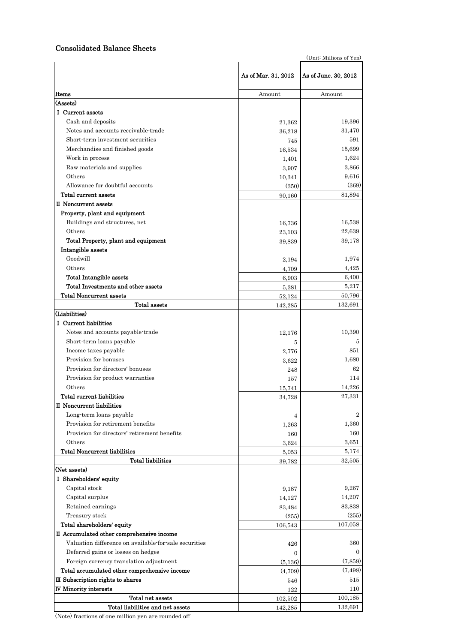## Consolidated Balance Sheets

(Unit: Millions of Yen)

|                                                       | As of Mar. 31, 2012 | As of June. 30, 2012 |
|-------------------------------------------------------|---------------------|----------------------|
| Items                                                 | Amount              | Amount               |
| (Assets)                                              |                     |                      |
| I Current assets                                      |                     |                      |
| Cash and deposits                                     | 21,362              | 19,396               |
| Notes and accounts receivable-trade                   | 36,218              | 31,470               |
| Short-term investment securities                      | 745                 | 591                  |
| Merchandise and finished goods                        | 16,534              | 15,699               |
| Work in process                                       | 1,401               | 1,624                |
| Raw materials and supplies                            | 3,907               | 3,866                |
| Others                                                | 10,341              | 9,616                |
| Allowance for doubtful accounts                       | (350)               | (369)                |
| Total current assets                                  | 90,160              | 81,894               |
| II Noncurrent assets                                  |                     |                      |
| Property, plant and equipment                         |                     |                      |
| Buildings and structures, net                         | 16,736              | 16,538               |
| Others                                                | 23,103              | 22,639               |
| Total Property, plant and equipment                   | 39,839              | 39,178               |
| Intangible assets                                     |                     |                      |
| Goodwill                                              | 2,194               | 1,974                |
| Others                                                | 4,709               | 4,425                |
| <b>Total Intangible assets</b>                        | 6,903               | 6,400                |
| Total Investments and other assets                    | 5,381               | 5,217                |
| <b>Total Noncurrent assets</b>                        | 52,124              | 50,796               |
| Total assets                                          | 142,285             | 132,691              |
| (Liabilities)                                         |                     |                      |
| I Current liabilities                                 |                     |                      |
| Notes and accounts payable-trade                      | 12,176              | 10,390               |
| Short-term loans payable                              | 5                   | 5                    |
| Income taxes payable                                  | 2,776               | 851                  |
| Provision for bonuses                                 | 3,622               | 1,680                |
| Provision for directors' bonuses                      | 248                 | 62                   |
| Provision for product warranties                      | 157                 | 114                  |
| Others                                                | 15,741              | 14,226               |
| Total current liabilities                             | 34,728              | 27,331               |
| II Noncurrent liabilities                             |                     |                      |
| Long-term loans payable                               | 4                   | $\overline{2}$       |
| Provision for retirement benefits                     | 1,263               | 1,360                |
| Provision for directors' retirement benefits          | 160                 | 160                  |
| Others                                                | 3,624               | 3,651                |
| <b>Total Noncurrent liabilities</b>                   | 5,053               | 5,174                |
| <b>Total liabilities</b>                              | 39,782              | 32,505               |
| (Net assets)                                          |                     |                      |
| I Shareholders' equity                                |                     |                      |
| Capital stock                                         | 9,187               | 9,267                |
| Capital surplus                                       | 14,127              | 14,207               |
| Retained earnings                                     | 83,484              | 83,838               |
| Treasury stock                                        | (255)               | (255)                |
| Total shareholders' equity                            | 106,543             | 107,058              |
| II Accumulated other comprehensive income             |                     |                      |
| Valuation difference on available for sale securities | 426                 | 360                  |
| Deferred gains or losses on hedges                    | $\mathbf{0}$        | $\mathbf{0}$         |
| Foreign currency translation adjustment               | (5,136)             | (7, 859)             |
| Total accumulated other comprehensive income          | (4,709)             | (7, 498)             |
| III Subscription rights to shares                     | 546                 | 515                  |
| <b>IV Minority interests</b>                          | 122                 | 110                  |
| Total net assets                                      | 102,502             | 100,185              |
| Total liabilities and net assets                      | 142,285             | 132,691              |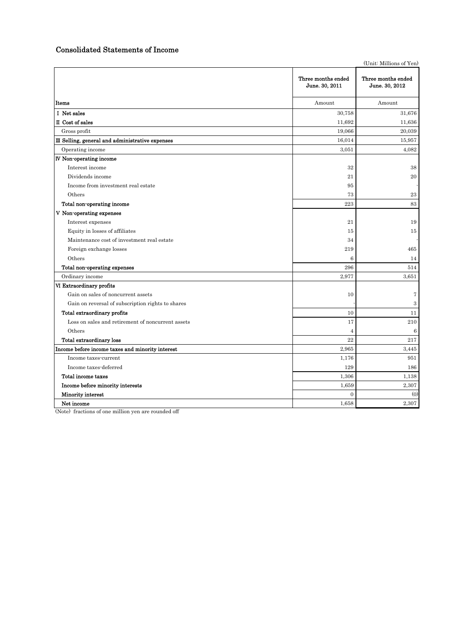## Consolidated Statements of Income

|                                                   |                                      | (Unit: Millions of Yen)              |
|---------------------------------------------------|--------------------------------------|--------------------------------------|
|                                                   | Three months ended<br>June. 30, 2011 | Three months ended<br>June. 30, 2012 |
| Items                                             | Amount                               | Amount                               |
| I Net sales                                       | 30,758                               | 31,676                               |
| II Cost of sales                                  | 11,692                               | 11,636                               |
| Gross profit                                      | 19.066                               | 20.039                               |
| III Selling, general and administrative expenses  | 16,014                               | 15,957                               |
| Operating income                                  | 3,051                                | 4,082                                |
| IV Non-operating income                           |                                      |                                      |
| Interest income                                   | 32                                   | 38                                   |
| Dividends income                                  | 21                                   | 20                                   |
| Income from investment real estate                | 95                                   |                                      |
| Others                                            | 73                                   | $\bf 23$                             |
| Total non-operating income                        | 223                                  | 83                                   |
| V Non-operating expenses                          |                                      |                                      |
| Interest expenses                                 | 21                                   | 19                                   |
| Equity in losses of affiliates                    | 15                                   | 15                                   |
| Maintenance cost of investment real estate        | 34                                   |                                      |
| Foreign exchange losses                           | 219                                  | 465                                  |
| Others                                            | 6                                    | 14                                   |
| Total non-operating expenses                      | 296                                  | 514                                  |
| Ordinary income                                   | 2,977                                | 3,651                                |
| VI Extraordinary profits                          |                                      |                                      |
| Gain on sales of noncurrent assets                | 10                                   | $\overline{7}$                       |
| Gain on reversal of subscription rights to shares |                                      | $\,3$                                |
| Total extraordinary profits                       | 10                                   | 11                                   |
| Loss on sales and retirement of noncurrent assets | 17                                   | 210                                  |
| Others                                            | $\overline{4}$                       | $\,6$                                |
| <b>Total extraordinary loss</b>                   | 22                                   | 217                                  |
| Income before income taxes and minority interest  | 2,965                                | 3,445                                |
| Income taxes-current                              | 1,176                                | 951                                  |
| Income taxes-deferred                             | 129                                  | 186                                  |
| Total income taxes                                | 1,306                                | 1,138                                |
| Income before minority interests                  | 1,659                                | 2,307                                |
| Minority interest                                 | $\mathbf{0}$                         | (0)                                  |
| Net income                                        | 1,658                                | 2,307                                |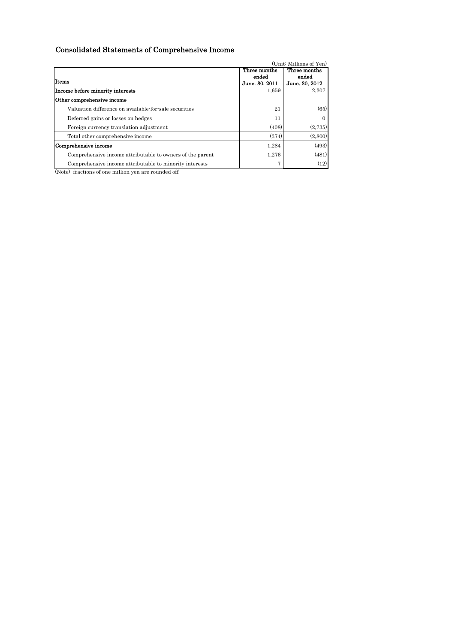# Consolidated Statements of Comprehensive Income

|                                                           |                | (Unit: Millions of Yen) |
|-----------------------------------------------------------|----------------|-------------------------|
|                                                           | Three months   | Three months            |
|                                                           | ended          | ended                   |
| Items                                                     | June. 30, 2011 | June. 30, 2012          |
| Income before minority interests                          | 1,659          | 2,307                   |
| Other comprehensive income                                |                |                         |
| Valuation difference on available for sale securities     | 21             | (65)                    |
| Deferred gains or losses on hedges                        | 11             | $\Omega$                |
| Foreign currency translation adjustment                   | (408)          | (2,735)                 |
| Total other comprehensive income                          | (374)          | (2,800)                 |
| Comprehensive income                                      | 1,284          | (493)                   |
| Comprehensive income attributable to owners of the parent | 1,276          | (481)                   |
| Comprehensive income attributable to minority interests   |                | (12)                    |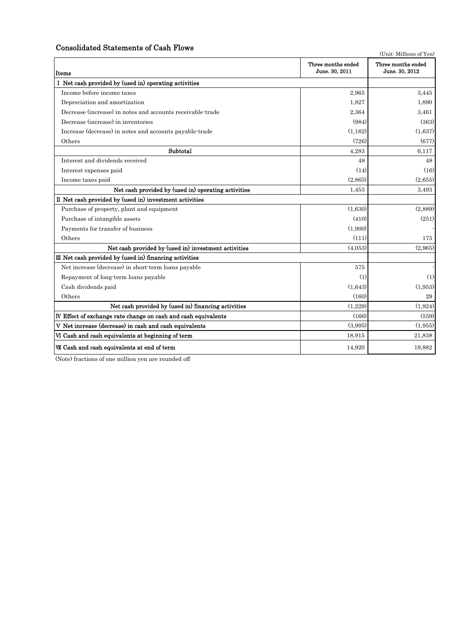## Consolidated Statements of Cash Flows

Items Ⅰ Net cash provided by (used in) operating activities Income before income taxes 2,965 3,445 Depreciation and amortization 1,890 1,890 1,890 1,890 1,890 1,890 1,890 1,890 1,890 1,890 1,890 1,890 1,890 1,890 1,890 1,890 1,890 1,890 1,890 1,890 1,890 1,890 1,890 1,890 1,890 1,890 1,890 1,890 1,890 1,890 1,890 1,890 Decrease (increase) in notes and accounts receivable-trade 2,364 3,461 Decrease (increase) in inventories (984) (363) Increase (decrease) in notes and accounts payable-trade (1,162) (1,162) (1,162) (1,637) Others (677) (677)  $\textbf{Subtotal}$  6,117 Interest and dividends received 48 48 Interest expenses paid (14) (16) Income taxes paid  $(2,865)$  (2,655) (2,655) Net cash provided by (used in) operating activities 1,453 3,493 Ⅱ Net cash provided by (used in) investment activities Purchase of property, plant and equipment (1,630) (2,889) Purchase of intangible assets (410) (251) Payments for transfer of business (1,900)  $(1,900)$ Others (111)  $175$ Net cash provided by (used in) investment activities (4,053) (2,965) Net increase (decrease) in short-term loans payable 575 Repayment of long-term loans payable (1) (1) (1) (1) (1) Cash dividends paid (1,643) (1,953) (160) 29  $(1,229)$   $(1,924)$ Ⅳ Effect of exchange rate change on cash and cash equivalents (166) (559) V Net increase (decrease) in cash and cash equivalents (3,995) (3,995) (3,995) (1,955) VI Cash and cash equivalents at beginning of term 18,915 21,838 VII Cash and cash equivalents at end of term  $14,920$  19,882 (Unit: Millions of Yen) Three months ended June. 30, 2011 Three months ended June. 30, 2012 Net cash provided by (used in) financing activities Ⅲ Net cash provided by (used in) financing activities Others